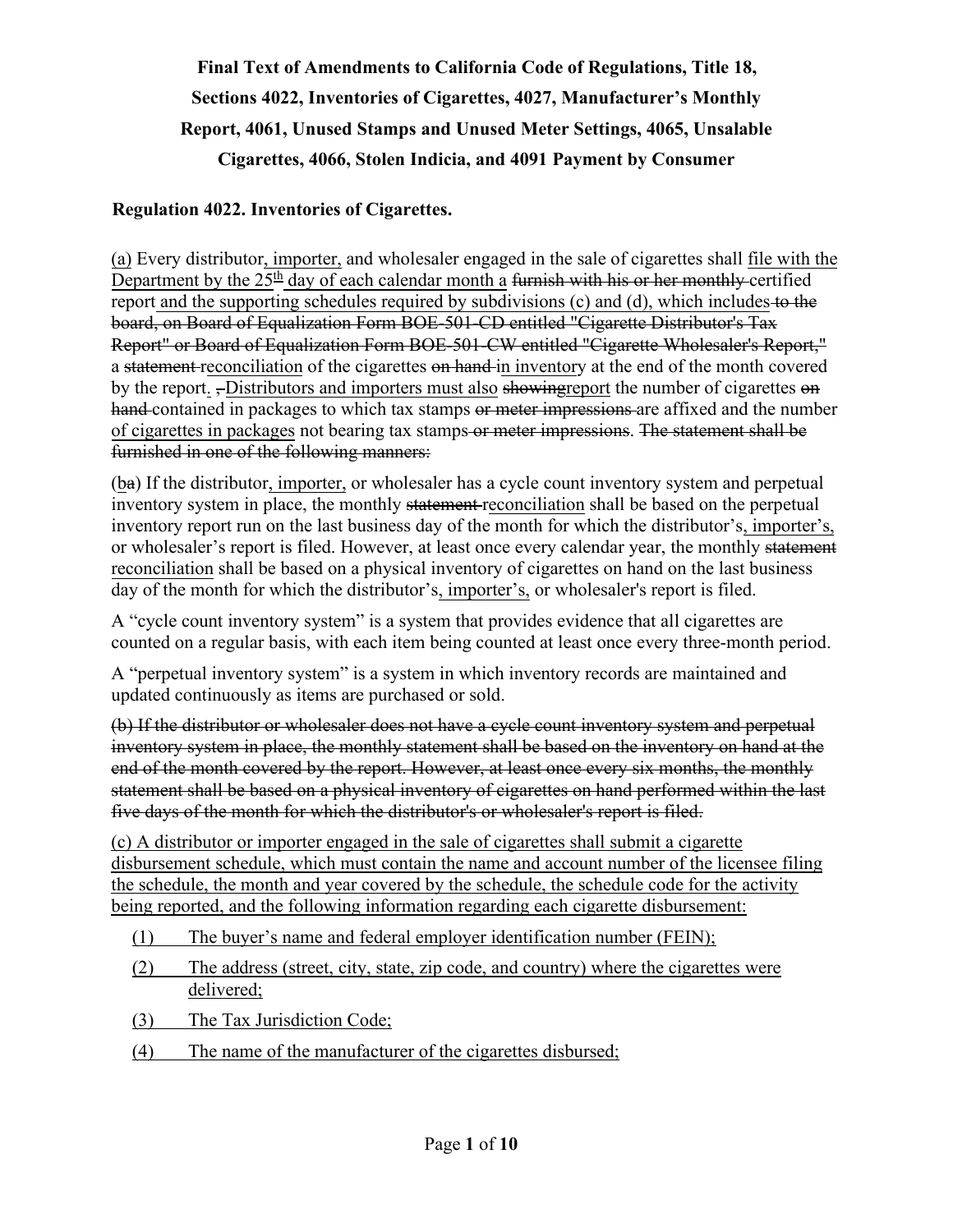**Final Text of Amendments to California Code of Regulations, Title 18, Sections 4022, Inventories of Cigarettes, 4027, Manufacturer's Monthly Report, 4061, Unused Stamps and Unused Meter Settings, 4065, Unsalable Cigarettes, 4066, Stolen Indicia, and 4091 Payment by Consumer** 

### **Regulation 4022. Inventories of Cigarettes.**

(a) Every distributor, importer, and wholesaler engaged in the sale of cigarettes shall file with the Department by the  $25<sup>th</sup>$  day of each calendar month a <del>furnish with his or her monthly certified</del> report and the supporting schedules required by subdivisions (c) and (d), which includes to the board, on Board of Equalization Form BOE-501-CD entitled "Cigarette Distributor's Tax Report" or Board of Equalization Form BOE-501-CW entitled "Cigarette Wholesaler's Report," a statement reconciliation of the cigarettes on hand in inventory at the end of the month covered by the report. -Distributors and importers must also showing report the number of cigarettes on hand contained in packages to which tax stamps or meter impressions are affixed and the number of cigarettes in packages not bearing tax stamps or meter impressions. The statement shall be furnished in one of the following manners:

(ba) If the distributor, importer, or wholesaler has a cycle count inventory system and perpetual inventory system in place, the monthly statement reconciliation shall be based on the perpetual inventory report run on the last business day of the month for which the distributor's, importer's, or wholesaler's report is filed. However, at least once every calendar year, the monthly statement reconciliation shall be based on a physical inventory of cigarettes on hand on the last business day of the month for which the distributor's, importer's, or wholesaler's report is filed.

A "cycle count inventory system" is a system that provides evidence that all cigarettes are counted on a regular basis, with each item being counted at least once every three-month period.

A "perpetual inventory system" is a system in which inventory records are maintained and updated continuously as items are purchased or sold.

(b) If the distributor or wholesaler does not have a cycle count inventory system and perpetual inventory system in place, the monthly statement shall be based on the inventory on hand at the end of the month covered by the report. However, at least once every six months, the monthly statement shall be based on a physical inventory of cigarettes on hand performed within the last five days of the month for which the distributor's or wholesaler's report is filed.

(c) A distributor or importer engaged in the sale of cigarettes shall submit a cigarette disbursement schedule, which must contain the name and account number of the licensee filing the schedule, the month and year covered by the schedule, the schedule code for the activity being reported, and the following information regarding each cigarette disbursement:

- (1) The buyer's name and federal employer identification number (FEIN);
- (2) The address (street, city, state, zip code, and country) where the cigarettes were delivered;
- (3) The Tax Jurisdiction Code;
- (4) The name of the manufacturer of the cigarettes disbursed;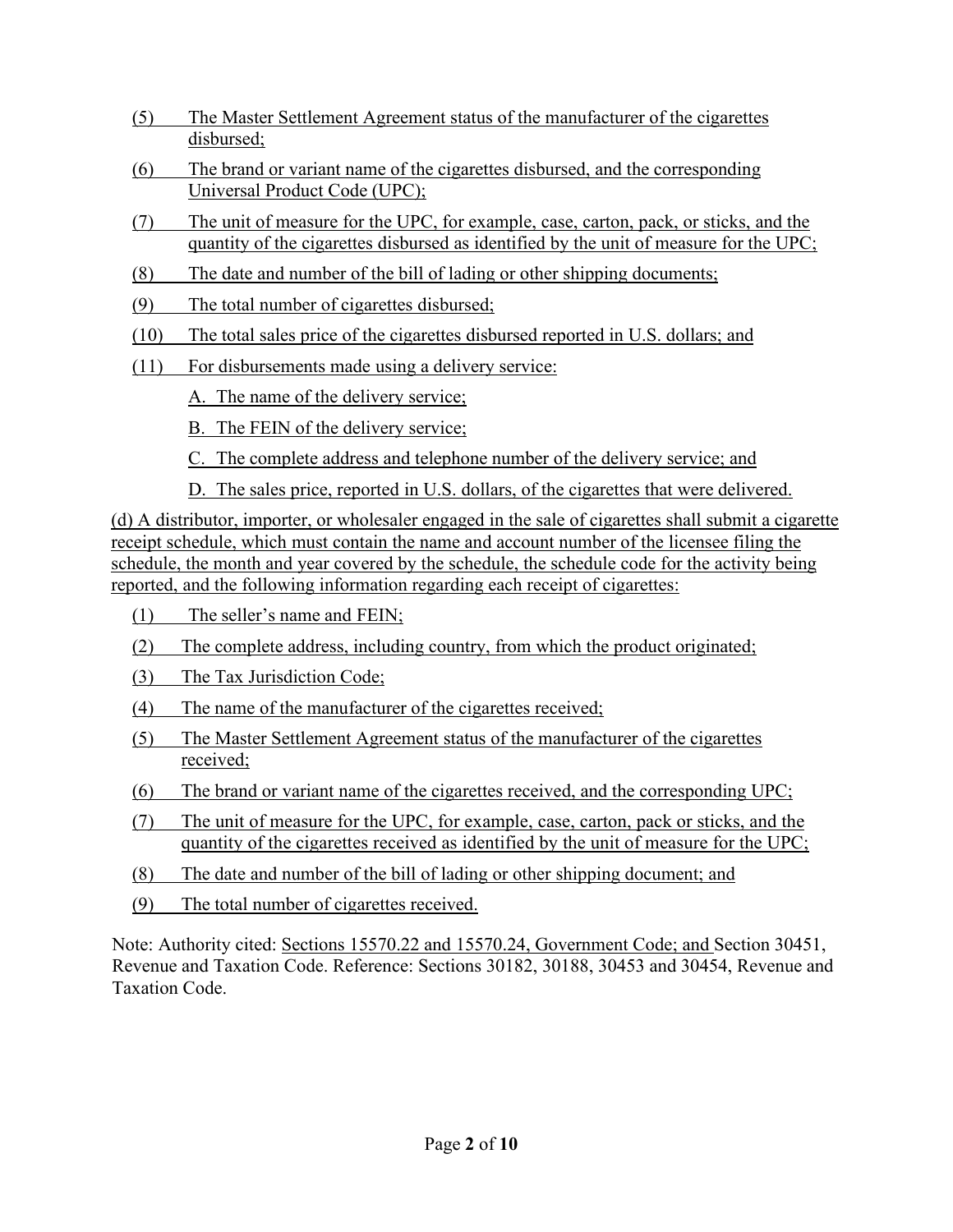- (5) The Master Settlement Agreement status of the manufacturer of the cigarettes disbursed;
- (6) The brand or variant name of the cigarettes disbursed, and the corresponding Universal Product Code (UPC);
- (7) The unit of measure for the UPC, for example, case, carton, pack, or sticks, and the quantity of the cigarettes disbursed as identified by the unit of measure for the UPC;
- (8) The date and number of the bill of lading or other shipping documents;
- (9) The total number of cigarettes disbursed;
- (10) The total sales price of the cigarettes disbursed reported in U.S. dollars; and
- (11) For disbursements made using a delivery service:
	- A. The name of the delivery service;
	- B. The FEIN of the delivery service;
	- C. The complete address and telephone number of the delivery service; and
	- D. The sales price, reported in U.S. dollars, of the cigarettes that were delivered.

(d) A distributor, importer, or wholesaler engaged in the sale of cigarettes shall submit a cigarette receipt schedule, which must contain the name and account number of the licensee filing the schedule, the month and year covered by the schedule, the schedule code for the activity being reported, and the following information regarding each receipt of cigarettes:

- (1) The seller's name and FEIN;
- (2) The complete address, including country, from which the product originated;
- (3) The Tax Jurisdiction Code;
- (4) The name of the manufacturer of the cigarettes received;
- (5) The Master Settlement Agreement status of the manufacturer of the cigarettes received;
- (6) The brand or variant name of the cigarettes received, and the corresponding UPC;
- (7) The unit of measure for the UPC, for example, case, carton, pack or sticks, and the quantity of the cigarettes received as identified by the unit of measure for the UPC;
- (8) The date and number of the bill of lading or other shipping document; and
- (9) The total number of cigarettes received.

Note: Authority cited: Sections 15570.22 and 15570.24, Government Code; and Section 30451, Revenue and Taxation Code. Reference: Sections 30182, 30188, 30453 and 30454, Revenue and Taxation Code.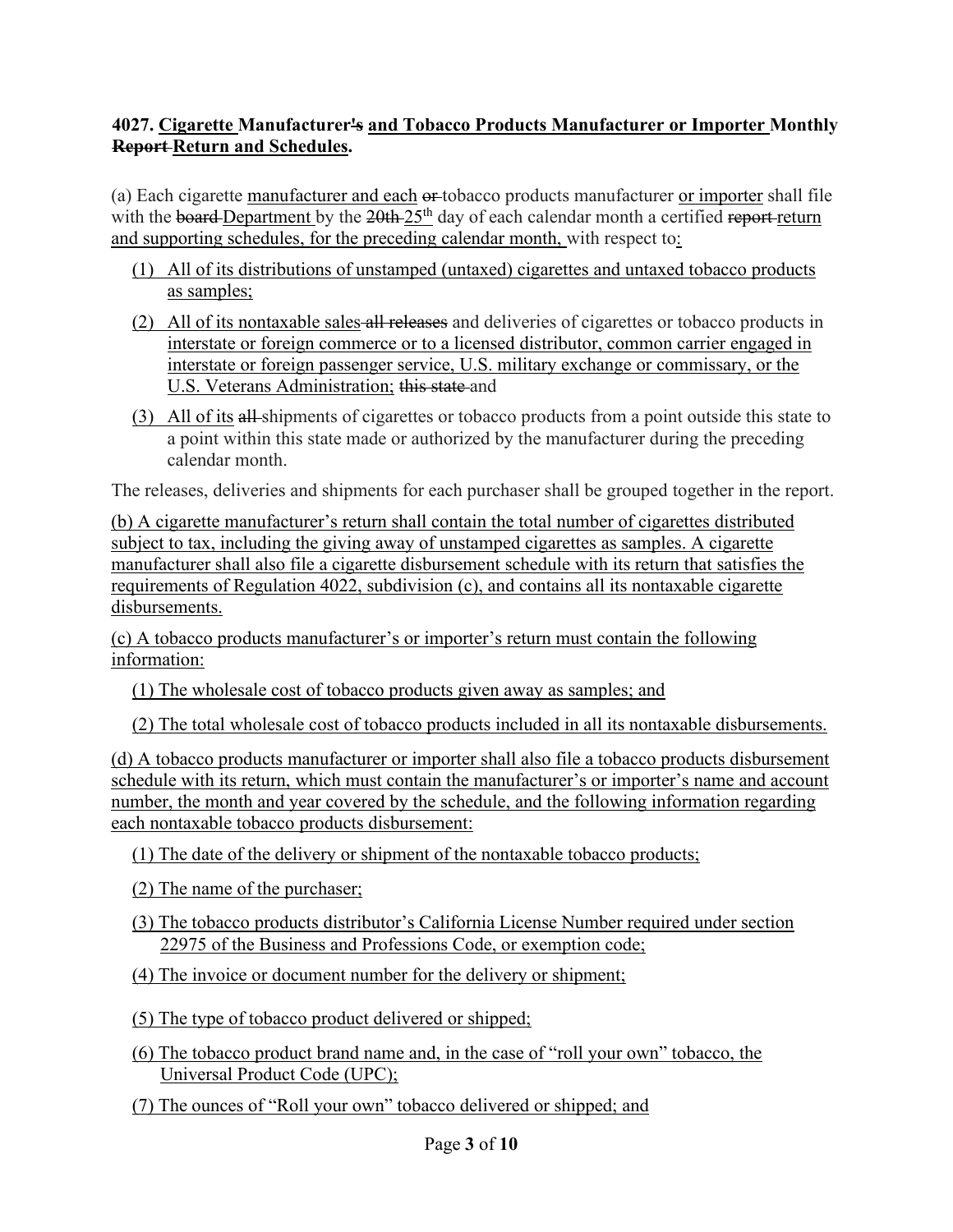# **4027. Cigarette Manufacturer's and Tobacco Products Manufacturer or Importer Monthly Report Return and Schedules.**

(a) Each cigarette manufacturer and each or tobacco products manufacturer or importer shall file with the board Department by the  $20th-25<sup>th</sup>$  day of each calendar month a certified report-return and supporting schedules, for the preceding calendar month, with respect to:

- (1) All of its distributions of unstamped (untaxed) cigarettes and untaxed tobacco products as samples;
- (2) All of its nontaxable sales all releases and deliveries of cigarettes or tobacco products in interstate or foreign commerce or to a licensed distributor, common carrier engaged in interstate or foreign passenger service, U.S. military exchange or commissary, or the U.S. Veterans Administration; this state and
- (3) All of its all shipments of cigarettes or tobacco products from a point outside this state to a point within this state made or authorized by the manufacturer during the preceding calendar month.

The releases, deliveries and shipments for each purchaser shall be grouped together in the report.

(b) A cigarette manufacturer's return shall contain the total number of cigarettes distributed subject to tax, including the giving away of unstamped cigarettes as samples. A cigarette manufacturer shall also file a cigarette disbursement schedule with its return that satisfies the requirements of Regulation 4022, subdivision (c), and contains all its nontaxable cigarette disbursements.

(c) A tobacco products manufacturer's or importer's return must contain the following information:

(1) The wholesale cost of tobacco products given away as samples; and

(2) The total wholesale cost of tobacco products included in all its nontaxable disbursements.

(d) A tobacco products manufacturer or importer shall also file a tobacco products disbursement schedule with its return, which must contain the manufacturer's or importer's name and account number, the month and year covered by the schedule, and the following information regarding each nontaxable tobacco products disbursement:

- (1) The date of the delivery or shipment of the nontaxable tobacco products;
- (2) The name of the purchaser;
- (3) The tobacco products distributor's California License Number required under section 22975 of the Business and Professions Code, or exemption code;
- (4) The invoice or document number for the delivery or shipment;
- (5) The type of tobacco product delivered or shipped;
- (6) The tobacco product brand name and, in the case of "roll your own" tobacco, the Universal Product Code (UPC);
- (7) The ounces of "Roll your own" tobacco delivered or shipped; and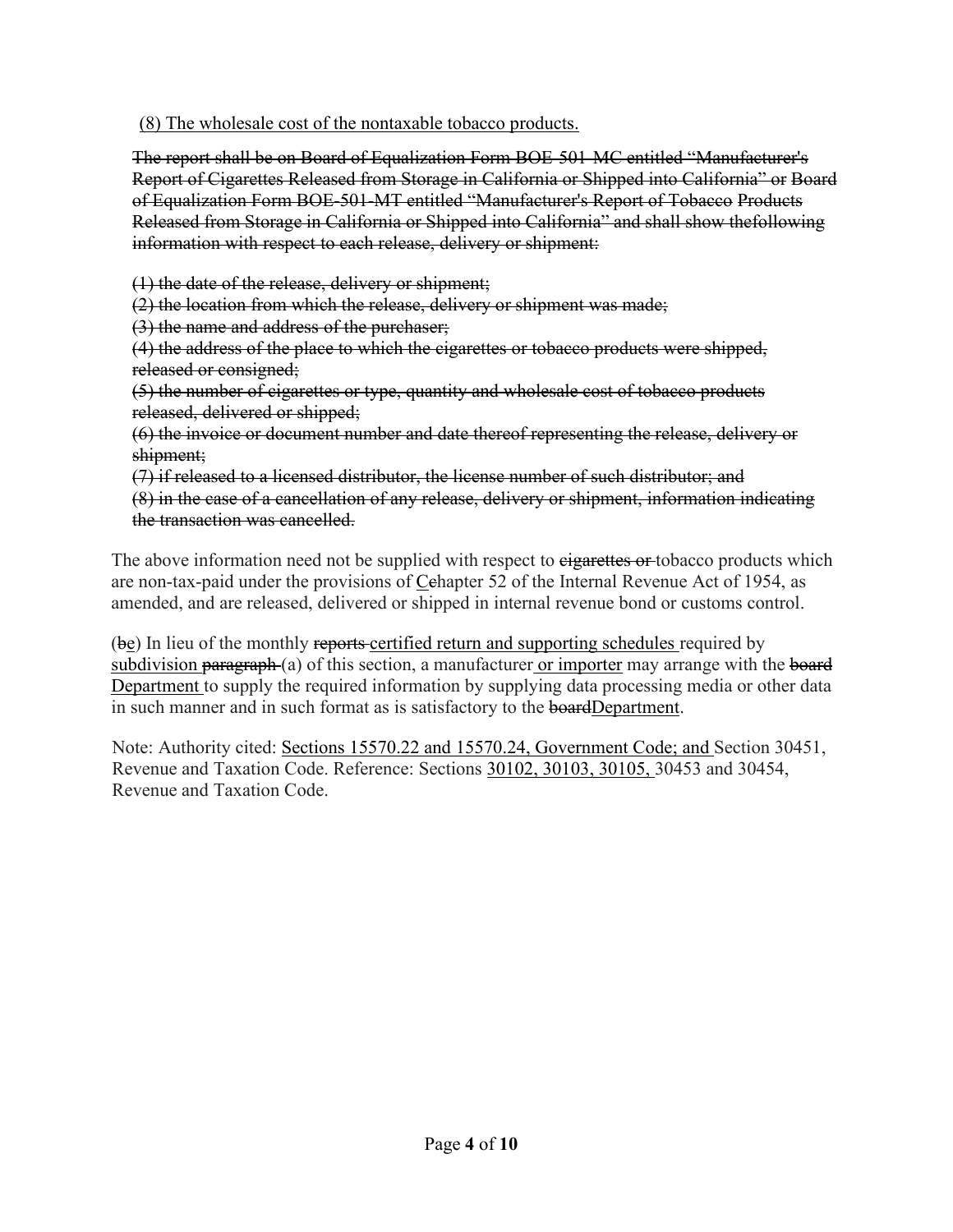(8) The wholesale cost of the nontaxable tobacco products.

The report shall be on Board of Equalization Form BOE-501-MC entitled "Manufacturer's Report of Cigarettes Released from Storage in California or Shipped into California" or Board of Equalization Form BOE-501-MT entitled "Manufacturer's Report of Tobacco Products Released from Storage in California or Shipped into California" and shall show the following information with respect to each release, delivery or shipment:

(1) the date of the release, delivery or shipment;

(2) the location from which the release, delivery or shipment was made;

(3) the name and address of the purchaser;

(4) the address of the place to which the cigarettes or tobacco products were shipped, released or consigned;

(5) the number of cigarettes or type, quantity and wholesale cost of tobacco products released, delivered or shipped;

(6) the invoice or document number and date thereof representing the release, delivery or shipment;

(7) if released to a licensed distributor, the license number of such distributor; and (8) in the case of a cancellation of any release, delivery or shipment, information indicating the transaction was cancelled.

The above information need not be supplied with respect to eigarettes or tobacco products which are non-tax-paid under the provisions of Cehapter 52 of the Internal Revenue Act of 1954, as amended, and are released, delivered or shipped in internal revenue bond or customs control.

(be) In lieu of the monthly reports-certified return and supporting schedules required by subdivision paragraph (a) of this section, a manufacturer or importer may arrange with the board Department to supply the required information by supplying data processing media or other data in such manner and in such format as is satisfactory to the **board** Department.

Note: Authority cited: Sections 15570.22 and 15570.24, Government Code; and Section 30451, Revenue and Taxation Code. Reference: Sections 30102, 30103, 30105, 30453 and 30454, Revenue and Taxation Code.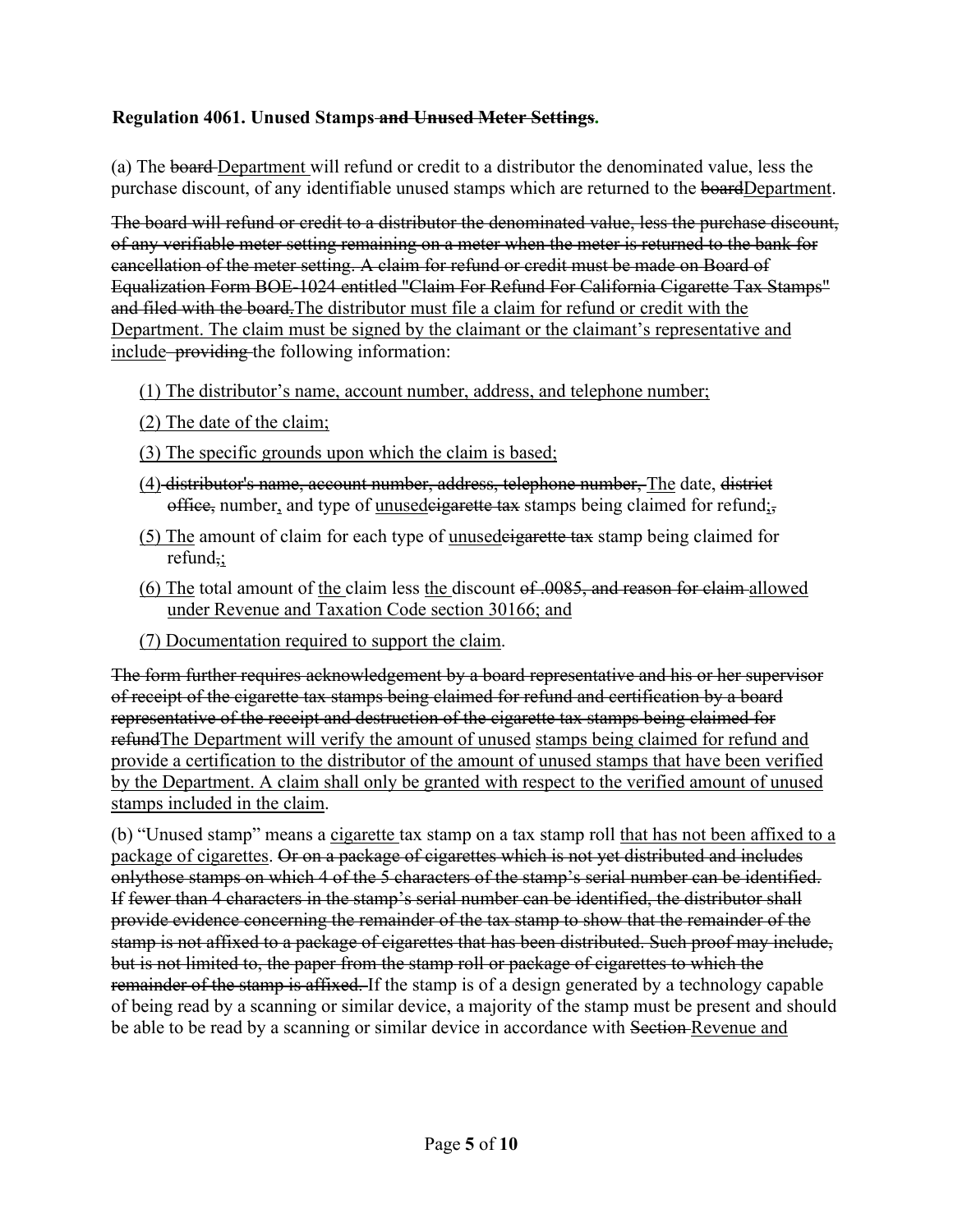### **Regulation 4061. Unused Stamps and Unused Meter Settings.**

(a) The board Department will refund or credit to a distributor the denominated value, less the purchase discount, of any identifiable unused stamps which are returned to the boardDepartment.

The board will refund or credit to a distributor the denominated value, less the purchase discount, of any verifiable meter setting remaining on a meter when the meter is returned to the bank for cancellation of the meter setting. A claim for refund or credit must be made on Board of Equalization Form BOE-1024 entitled "Claim For Refund For California Cigarette Tax Stamps" and filed with the board.The distributor must file a claim for refund or credit with the Department. The claim must be signed by the claimant or the claimant's representative and include–providing the following information:

- (1) The distributor's name, account number, address, and telephone number;
- (2) The date of the claim;
- (3) The specific grounds upon which the claim is based;
- (4) distributor's name, account number, address, telephone number, The date, district office, number, and type of unusedeigarette tax stamps being claimed for refund;
- (5) The amount of claim for each type of unusedeigarette tax stamp being claimed for refund,;
- (6) The total amount of the claim less the discount of .0085, and reason for claim allowed under Revenue and Taxation Code section 30166; and
- (7) Documentation required to support the claim.

The form further requires acknowledgement by a board representative and his or her supervisor of receipt of the cigarette tax stamps being claimed for refund and certification by a board representative of the receipt and destruction of the cigarette tax stamps being claimed for refund The Department will verify the amount of unused stamps being claimed for refund and provide a certification to the distributor of the amount of unused stamps that have been verified by the Department. A claim shall only be granted with respect to the verified amount of unused stamps included in the claim.

(b) "Unused stamp" means a cigarette tax stamp on a tax stamp roll that has not been affixed to a package of cigarettes. Or on a package of cigarettes which is not yet distributed and includes onlythose stamps on which 4 of the 5 characters of the stamp's serial number can be identified. If fewer than 4 characters in the stamp's serial number can be identified, the distributor shall provide evidence concerning the remainder of the tax stamp to show that the remainder of the stamp is not affixed to a package of cigarettes that has been distributed. Such proof may include, but is not limited to, the paper from the stamp roll or package of cigarettes to which the remainder of the stamp is affixed. If the stamp is of a design generated by a technology capable of being read by a scanning or similar device, a majority of the stamp must be present and should be able to be read by a scanning or similar device in accordance with Section-Revenue and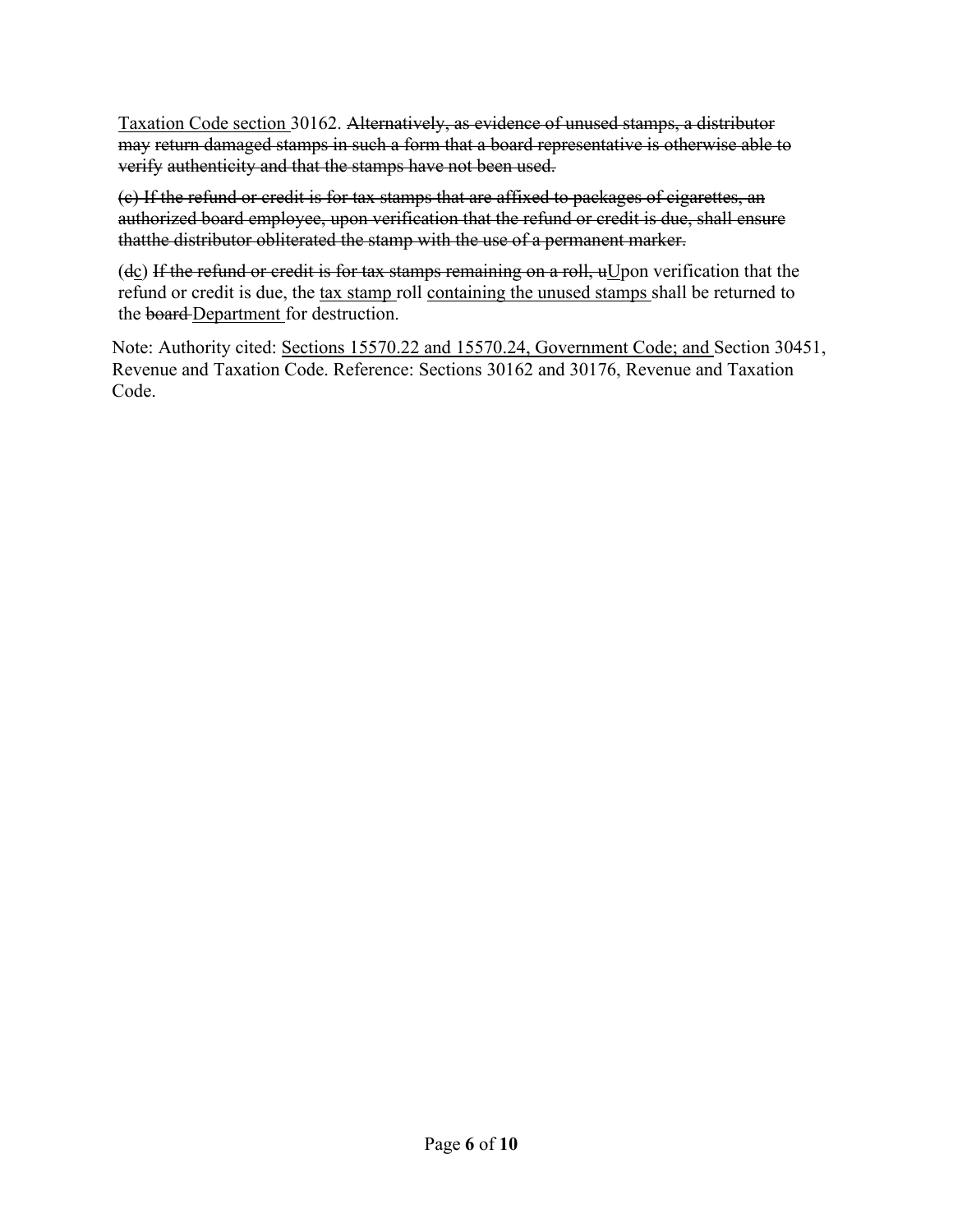Taxation Code section 30162. Alternatively, as evidence of unused stamps, a distributor may return damaged stamps in such a form that a board representative is otherwise able to verify authenticity and that the stamps have not been used.

(c) If the refund or credit is for tax stamps that are affixed to packages of cigarettes, an authorized board employee, upon verification that the refund or credit is due, shall ensure that the distributor obliterated the stamp with the use of a permanent marker.

(dc) If the refund or credit is for tax stamps remaining on a roll,  $uU$  pon verification that the refund or credit is due, the tax stamp roll containing the unused stamps shall be returned to the board Department for destruction.

Note: Authority cited: Sections 15570.22 and 15570.24, Government Code; and Section 30451, Revenue and Taxation Code. Reference: Sections 30162 and 30176, Revenue and Taxation Code.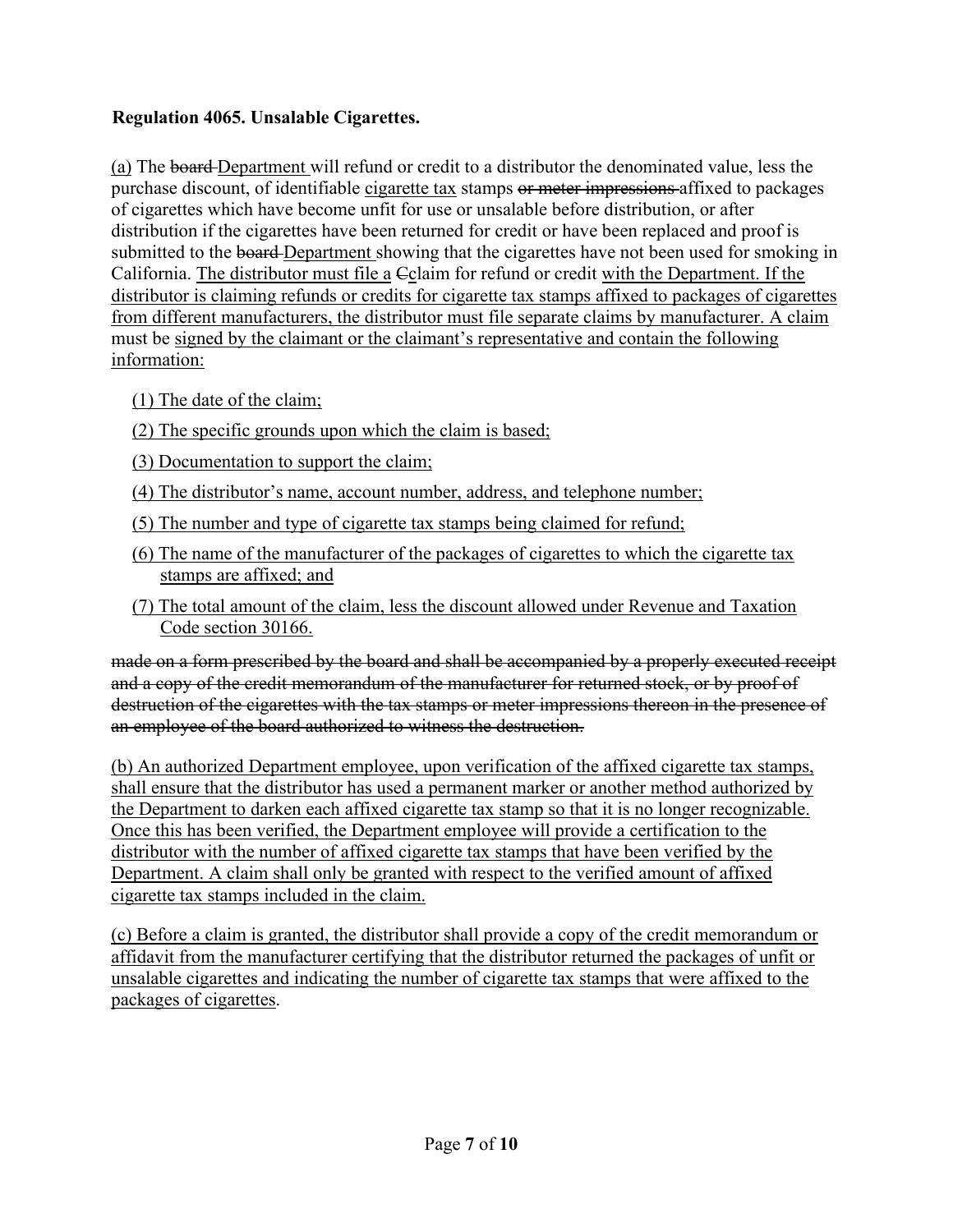# **Regulation 4065. Unsalable Cigarettes.**

(a) The board Department will refund or credit to a distributor the denominated value, less the purchase discount, of identifiable cigarette tax stamps or meter impressions affixed to packages of cigarettes which have become unfit for use or unsalable before distribution, or after distribution if the cigarettes have been returned for credit or have been replaced and proof is submitted to the board-Department showing that the cigarettes have not been used for smoking in California. The distributor must file a Cclaim for refund or credit with the Department. If the distributor is claiming refunds or credits for cigarette tax stamps affixed to packages of cigarettes from different manufacturers, the distributor must file separate claims by manufacturer. A claim must be signed by the claimant or the claimant's representative and contain the following information:

- (1) The date of the claim;
- (2) The specific grounds upon which the claim is based;
- (3) Documentation to support the claim;
- (4) The distributor's name, account number, address, and telephone number;
- (5) The number and type of cigarette tax stamps being claimed for refund;
- (6) The name of the manufacturer of the packages of cigarettes to which the cigarette tax stamps are affixed; and
- (7) The total amount of the claim, less the discount allowed under Revenue and Taxation Code section 30166.

made on a form prescribed by the board and shall be accompanied by a properly executed receipt and a copy of the credit memorandum of the manufacturer for returned stock, or by proof of destruction of the cigarettes with the tax stamps or meter impressions thereon in the presence of an employee of the board authorized to witness the destruction.

(b) An authorized Department employee, upon verification of the affixed cigarette tax stamps, shall ensure that the distributor has used a permanent marker or another method authorized by the Department to darken each affixed cigarette tax stamp so that it is no longer recognizable. Once this has been verified, the Department employee will provide a certification to the distributor with the number of affixed cigarette tax stamps that have been verified by the Department. A claim shall only be granted with respect to the verified amount of affixed cigarette tax stamps included in the claim.

(c) Before a claim is granted, the distributor shall provide a copy of the credit memorandum or affidavit from the manufacturer certifying that the distributor returned the packages of unfit or unsalable cigarettes and indicating the number of cigarette tax stamps that were affixed to the packages of cigarettes.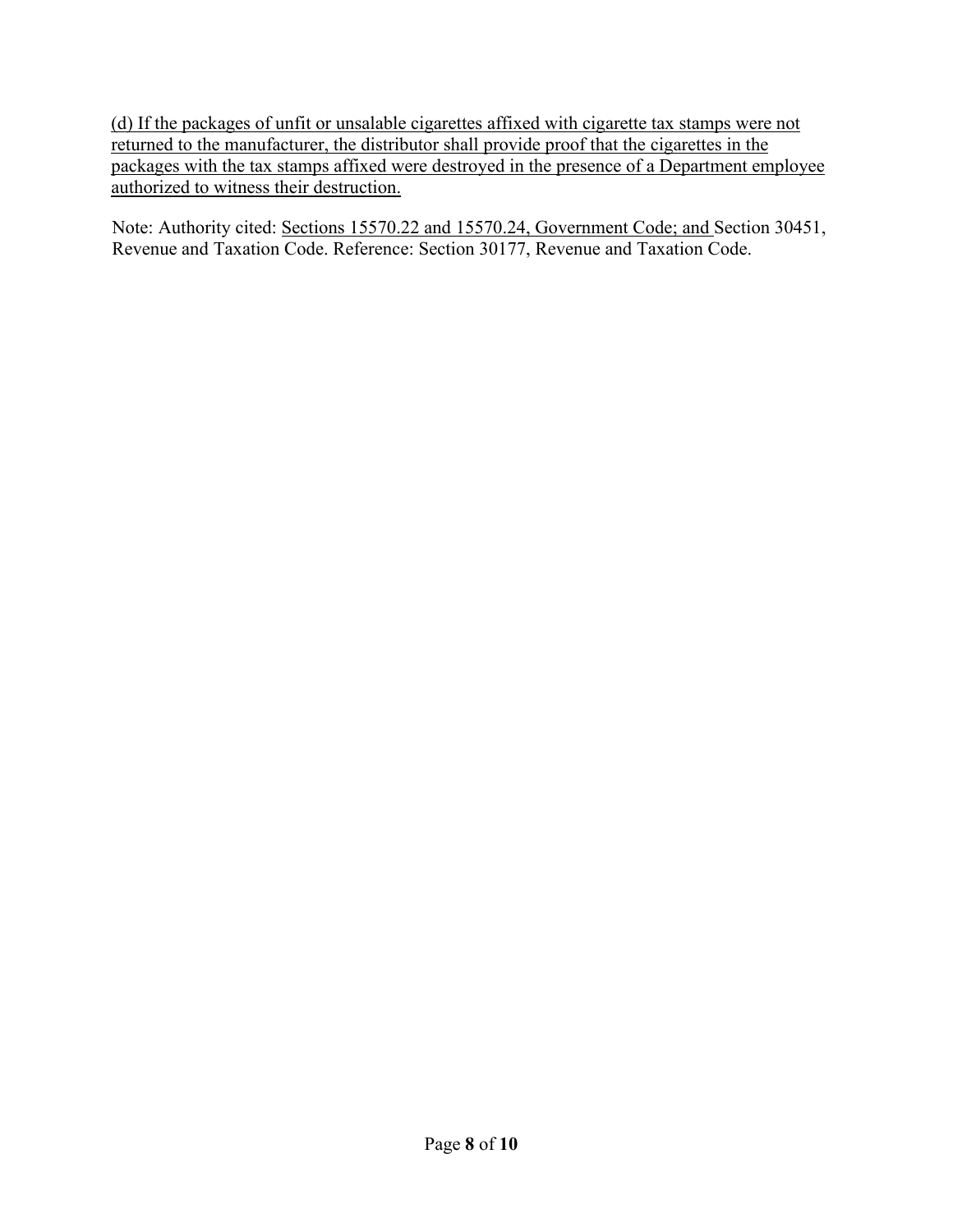(d) If the packages of unfit or unsalable cigarettes affixed with cigarette tax stamps were not returned to the manufacturer, the distributor shall provide proof that the cigarettes in the packages with the tax stamps affixed were destroyed in the presence of a Department employee authorized to witness their destruction.

Note: Authority cited: Sections 15570.22 and 15570.24, Government Code; and Section 30451, Revenue and Taxation Code. Reference: Section 30177, Revenue and Taxation Code.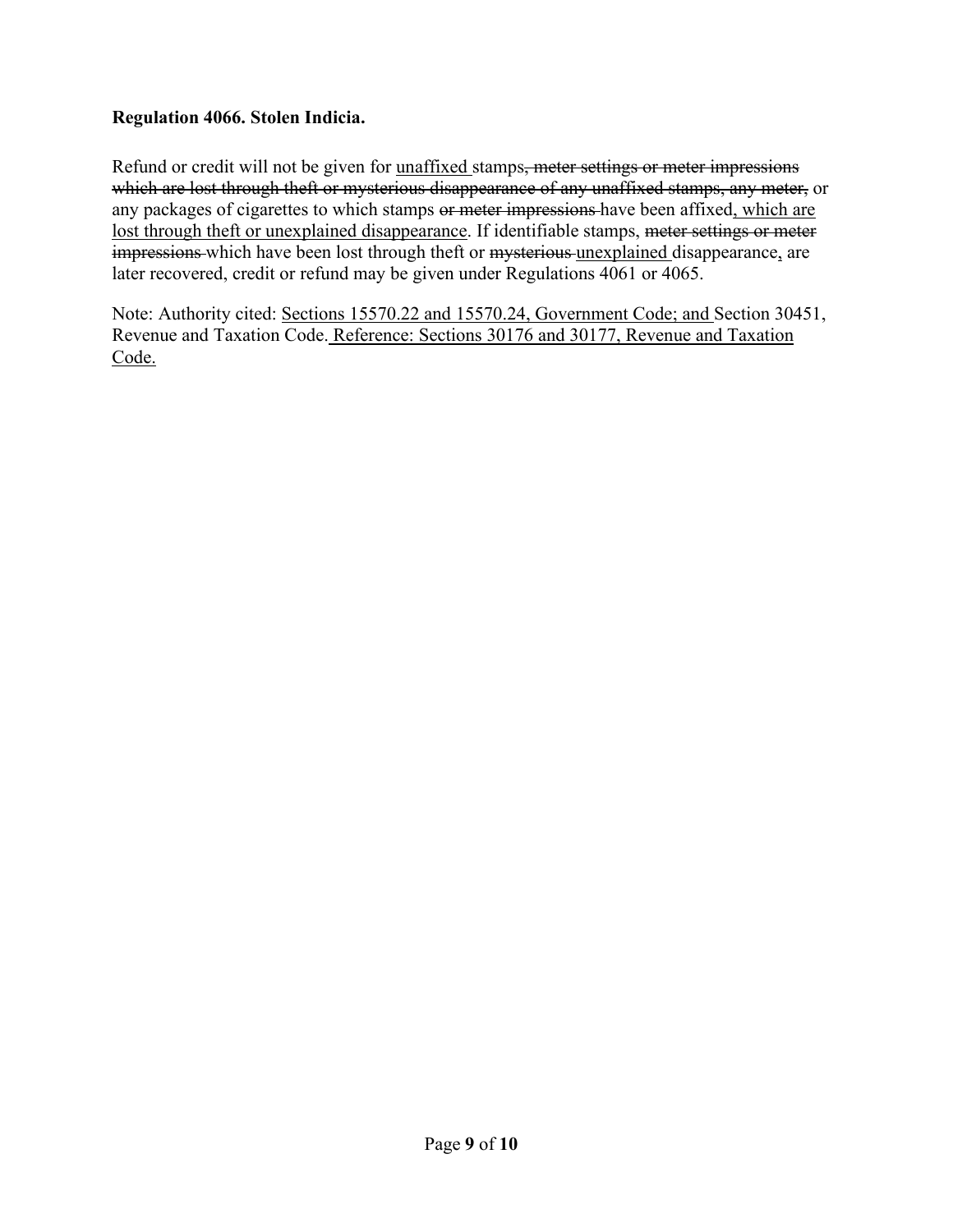### **Regulation 4066. Stolen Indicia.**

Refund or credit will not be given for <u>unaffixed</u> stamps<del>, meter settings or meter impressions</del> which are lost through theft or mysterious disappearance of any unaffixed stamps, any meter, or any packages of cigarettes to which stamps or meter impressions have been affixed, which are lost through theft or unexplained disappearance. If identifiable stamps, meter settings or meter impressions which have been lost through theft or mysterious unexplained disappearance, are later recovered, credit or refund may be given under Regulations 4061 or 4065.

Note: Authority cited: Sections 15570.22 and 15570.24, Government Code; and Section 30451, Revenue and Taxation Code. Reference: Sections 30176 and 30177, Revenue and Taxation Code.